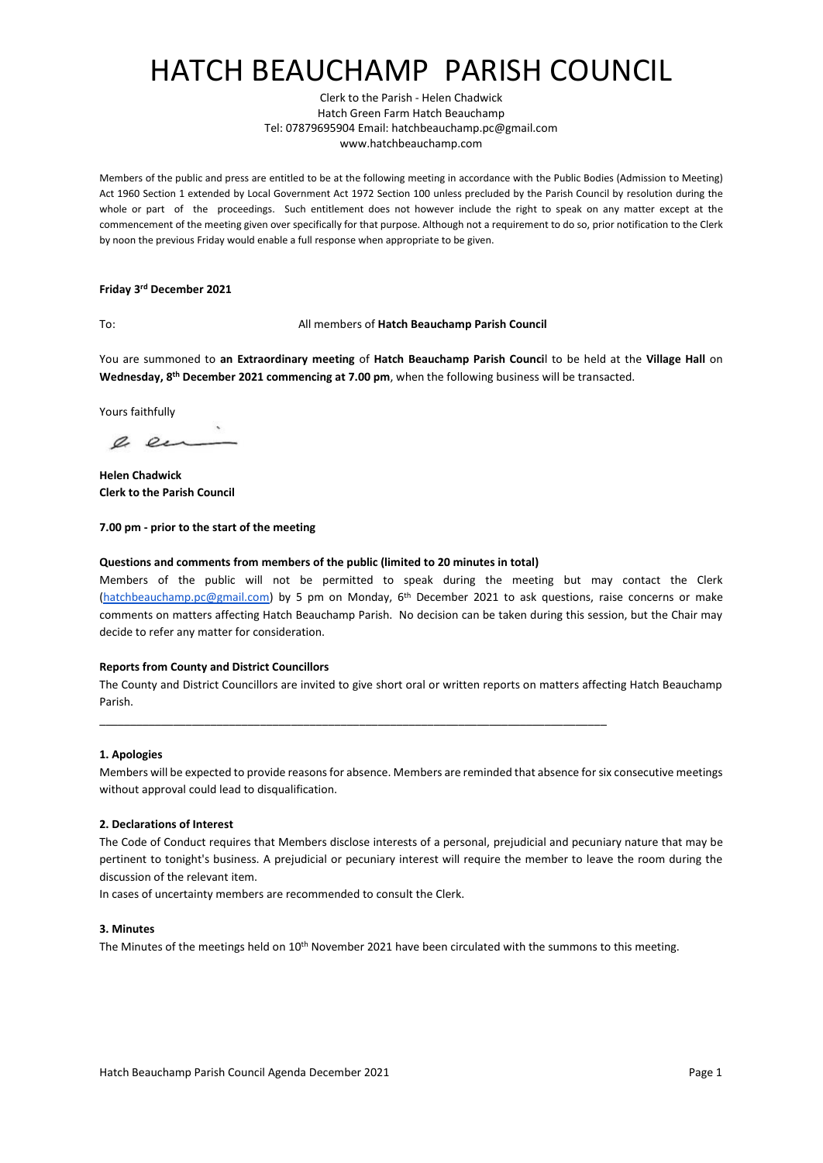# HATCH BEAUCHAMP PARISH COUNCIL

Clerk to the Parish - Helen Chadwick Hatch Green Farm Hatch Beauchamp Tel: 07879695904 Email: hatchbeauchamp.pc@gmail.com www.hatchbeauchamp.com

Members of the public and press are entitled to be at the following meeting in accordance with the Public Bodies (Admission to Meeting) Act 1960 Section 1 extended by Local Government Act 1972 Section 100 unless precluded by the Parish Council by resolution during the whole or part of the proceedings. Such entitlement does not however include the right to speak on any matter except at the commencement of the meeting given over specifically for that purpose. Although not a requirement to do so, prior notification to the Clerk by noon the previous Friday would enable a full response when appropriate to be given.

#### **Friday 3 rd December 2021**

### To: All members of **Hatch Beauchamp Parish Council**

You are summoned to **an Extraordinary meeting** of **Hatch Beauchamp Parish Counci**l to be held at [the](http://zoom.us/) **Village Hall** on **Wednesday, 8 th December 2021 commencing at 7.00 pm**, when the following business will be transacted.

Yours faithfully

a en

**Helen Chadwick Clerk to the Parish Council**

### **7.00 pm - prior to the start of the meeting**

### **Questions and comments from members of the public (limited to 20 minutes in total)**

Members of the public will not be permitted to speak during the meeting but may contact the Clerk [\(hatchbeauchamp.pc@gmail.com\)](mailto:hatchbeauchamp.pc@gmail.com) by 5 pm on Monday, 6<sup>th</sup> December 2021 to ask questions, raise concerns or make comments on matters affecting Hatch Beauchamp Parish. No decision can be taken during this session, but the Chair may decide to refer any matter for consideration.

#### **Reports from County and District Councillors**

The County and District Councillors are invited to give short oral or written reports on matters affecting Hatch Beauchamp Parish.

\_\_\_\_\_\_\_\_\_\_\_\_\_\_\_\_\_\_\_\_\_\_\_\_\_\_\_\_\_\_\_\_\_\_\_\_\_\_\_\_\_\_\_\_\_\_\_\_\_\_\_\_\_\_\_\_\_\_\_\_\_\_\_\_\_\_\_\_\_\_\_\_\_\_\_\_\_\_\_\_\_\_

#### **1. Apologies**

Members will be expected to provide reasons for absence. Members are reminded that absence for six consecutive meetings without approval could lead to disqualification.

#### **2. Declarations of Interest**

The Code of Conduct requires that Members disclose interests of a personal, prejudicial and pecuniary nature that may be pertinent to tonight's business. A prejudicial or pecuniary interest will require the member to leave the room during the discussion of the relevant item.

In cases of uncertainty members are recommended to consult the Clerk.

#### **3. Minutes**

The Minutes of the meetings held on 10th November 2021 have been circulated with the summons to this meeting.